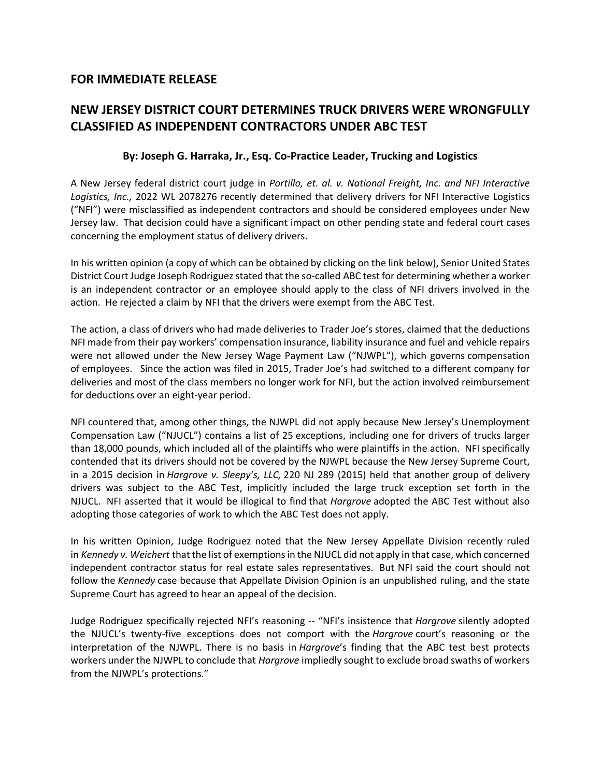## **FOR IMMEDIATE RELEASE**

## **NEW JERSEY DISTRICT COURT DETERMINES TRUCK DRIVERS WERE WRONGFULLY CLASSIFIED AS INDEPENDENT CONTRACTORS UNDER ABC TEST**

## **By: Joseph G. Harraka, Jr., Esq. Co‐Practice Leader, Trucking and Logistics**

A New Jersey federal district court judge in *Portillo, et. al. v. National Freight, Inc. and NFI Interactive Logistics, Inc.,* 2022 WL 2078276 recently determined that delivery drivers for NFI Interactive Logistics ("NFI") were misclassified as independent contractors and should be considered employees under New Jersey law. That decision could have a significant impact on other pending state and federal court cases concerning the employment status of delivery drivers.

In his written opinion (a copy of which can be obtained by clicking on the link below), Senior United States District Court Judge Joseph Rodriguez stated that the so‐called ABC test for determining whether a worker is an independent contractor or an employee should apply to the class of NFI drivers involved in the action. He rejected a claim by NFI that the drivers were exempt from the ABC Test.

The action, a class of drivers who had made deliveries to Trader Joe's stores, claimed that the deductions NFI made from their pay workers' compensation insurance, liability insurance and fuel and vehicle repairs were not allowed under the New Jersey Wage Payment Law ("NJWPL"), which governs compensation of employees. Since the action was filed in 2015, Trader Joe's had switched to a different company for deliveries and most of the class members no longer work for NFI, but the action involved reimbursement for deductions over an eight‐year period.

NFI countered that, among other things, the NJWPL did not apply because New Jersey's Unemployment Compensation Law ("NJUCL") contains a list of 25 exceptions, including one for drivers of trucks larger than 18,000 pounds, which included all of the plaintiffs who were plaintiffs in the action. NFI specifically contended that its drivers should not be covered by the NJWPL because the New Jersey Supreme Court, in a 2015 decision in *Hargrove v. Sleepy's, LLC,* 220 NJ 289 (2015) held that another group of delivery drivers was subject to the ABC Test, implicitly included the large truck exception set forth in the NJUCL. NFI asserted that it would be illogical to find that *Hargrove* adopted the ABC Test without also adopting those categories of work to which the ABC Test does not apply.

In his written Opinion, Judge Rodriguez noted that the New Jersey Appellate Division recently ruled in *Kennedy v. Weichert* that the list of exemptions in the NJUCL did not apply in that case, which concerned independent contractor status for real estate sales representatives. But NFI said the court should not follow the *Kennedy* case because that Appellate Division Opinion is an unpublished ruling, and the state Supreme Court has agreed to hear an appeal of the decision.

Judge Rodriguez specifically rejected NFI's reasoning ‐‐ "NFI's insistence that *Hargrove* silently adopted the NJUCL's twenty‐five exceptions does not comport with the *Hargrove* court's reasoning or the interpretation of the NJWPL. There is no basis in *Hargrove*'s finding that the ABC test best protects workers under the NJWPL to conclude that *Hargrove* impliedly sought to exclude broad swaths of workers from the NJWPL's protections."